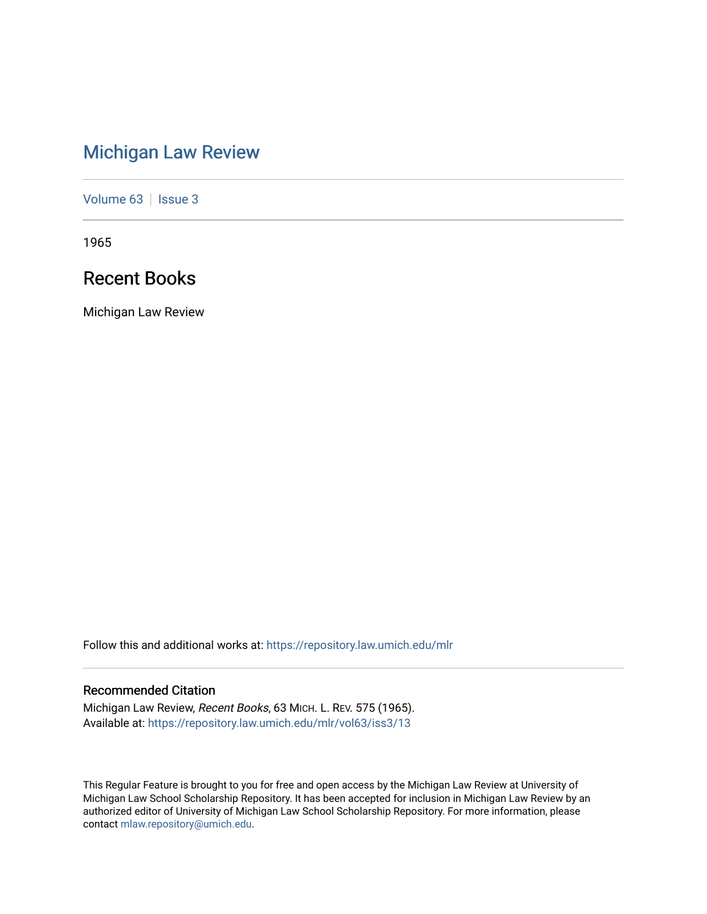# [Michigan Law Review](https://repository.law.umich.edu/mlr)

[Volume 63](https://repository.law.umich.edu/mlr/vol63) | [Issue 3](https://repository.law.umich.edu/mlr/vol63/iss3)

1965

## Recent Books

Michigan Law Review

Follow this and additional works at: [https://repository.law.umich.edu/mlr](https://repository.law.umich.edu/mlr?utm_source=repository.law.umich.edu%2Fmlr%2Fvol63%2Fiss3%2F13&utm_medium=PDF&utm_campaign=PDFCoverPages) 

## Recommended Citation

Michigan Law Review, Recent Books, 63 MICH. L. REV. 575 (1965). Available at: [https://repository.law.umich.edu/mlr/vol63/iss3/13](https://repository.law.umich.edu/mlr/vol63/iss3/13?utm_source=repository.law.umich.edu%2Fmlr%2Fvol63%2Fiss3%2F13&utm_medium=PDF&utm_campaign=PDFCoverPages) 

This Regular Feature is brought to you for free and open access by the Michigan Law Review at University of Michigan Law School Scholarship Repository. It has been accepted for inclusion in Michigan Law Review by an authorized editor of University of Michigan Law School Scholarship Repository. For more information, please contact [mlaw.repository@umich.edu](mailto:mlaw.repository@umich.edu).